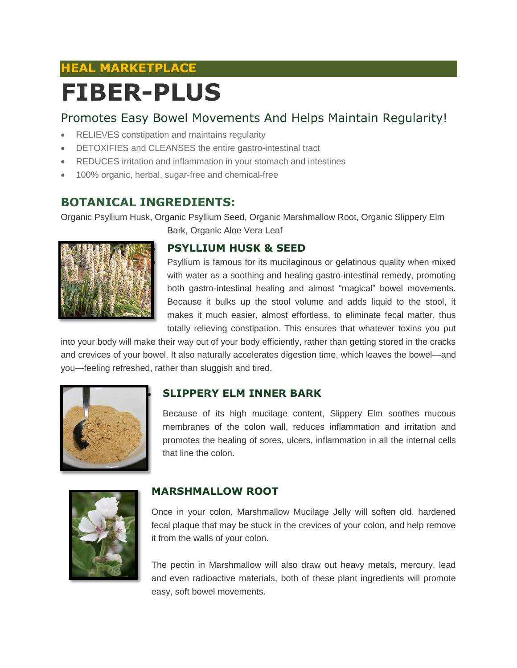# **HEAL MARKETPLACE FIBER-PLUS**

## Promotes Easy Bowel Movements And Helps Maintain Regularity!

- RELIEVES constipation and maintains regularity
- DETOXIFIES and CLEANSES the entire gastro-intestinal tract
- REDUCES irritation and inflammation in your stomach and intestines
- 100% organic, herbal, sugar-free and chemical-free

## **BOTANICAL INGREDIENTS:**

Organic Psyllium Husk, Organic Psyllium Seed, Organic Marshmallow Root, Organic Slippery Elm Bark, Organic Aloe Vera Leaf



### **PSYLLIUM HUSK & SEED**

 Psyllium is famous for its mucilaginous or gelatinous quality when mixed with water as a soothing and healing gastro-intestinal remedy, promoting both gastro-intestinal healing and almost "magical" bowel movements. Because it bulks up the stool volume and adds liquid to the stool, it makes it much easier, almost effortless, to eliminate fecal matter, thus totally relieving constipation. This ensures that whatever toxins you put

into your body will make their way out of your body efficiently, rather than getting stored in the cracks and crevices of your bowel. It also naturally accelerates digestion time, which leaves the bowel—and you—feeling refreshed, rather than sluggish and tired.



### **SLIPPERY ELM INNER BARK**

Because of its high mucilage content, Slippery Elm soothes mucous membranes of the colon wall, reduces inflammation and irritation and promotes the healing of sores, ulcers, inflammation in all the internal cells that line the colon.



### **MARSHMALLOW ROOT**

Once in your colon, Marshmallow Mucilage Jelly will soften old, hardened fecal plaque that may be stuck in the crevices of your colon, and help remove it from the walls of your colon.

The pectin in Marshmallow will also draw out heavy metals, mercury, lead and even radioactive materials, both of these plant ingredients will promote easy, soft bowel movements.